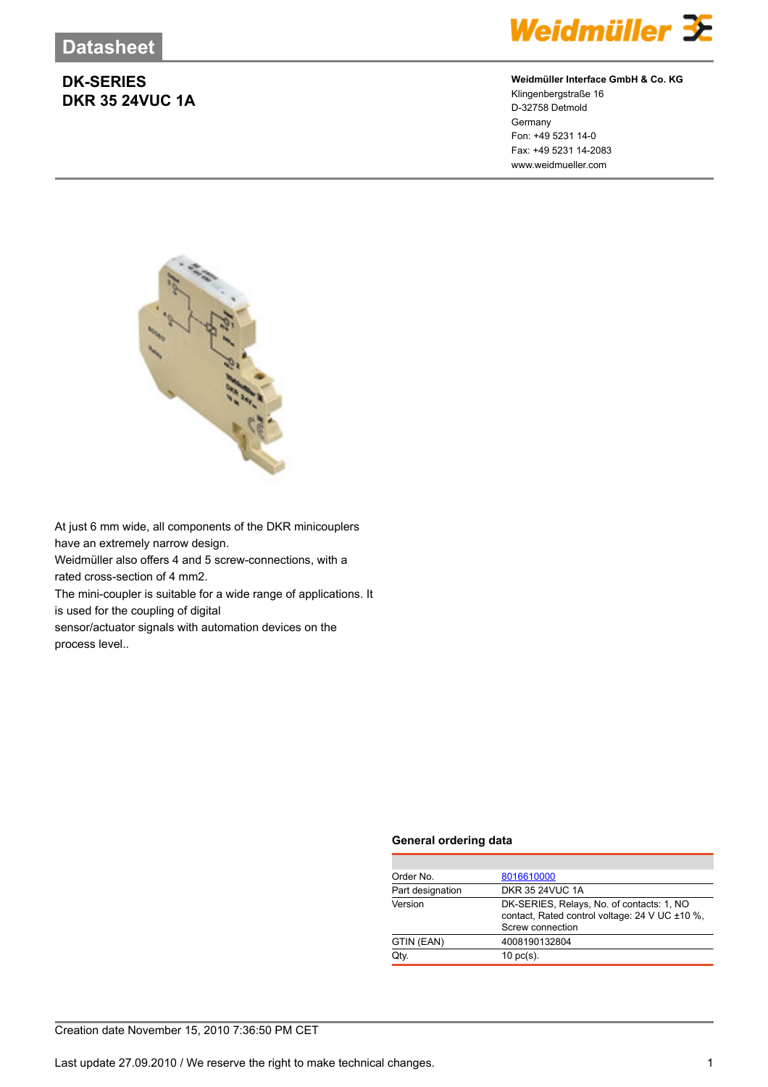

## **Weidmüller Interface GmbH & Co. KG**

Klingenbergstraße 16 D-32758 Detmold Germany Fon: +49 5231 14-0 Fax: +49 5231 14-2083 www.weidmueller.com



At just 6 mm wide, all components of the DKR minicouplers have an extremely narrow design.

Weidmüller also offers 4 and 5 screw-connections, with a rated cross-section of 4 mm2.

The mini-coupler is suitable for a wide range of applications. It is used for the coupling of digital

sensor/actuator signals with automation devices on the process level..

### **General ordering data**

| Order No.        | 8016610000                                                                                                      |
|------------------|-----------------------------------------------------------------------------------------------------------------|
| Part designation | <b>DKR 35 24VUC 1A</b>                                                                                          |
| Version          | DK-SERIES, Relays, No. of contacts: 1, NO<br>contact, Rated control voltage: 24 V UC ±10 %,<br>Screw connection |
| GTIN (EAN)       | 4008190132804                                                                                                   |
| Qtv.             | $10 \text{ pc(s)}$ .                                                                                            |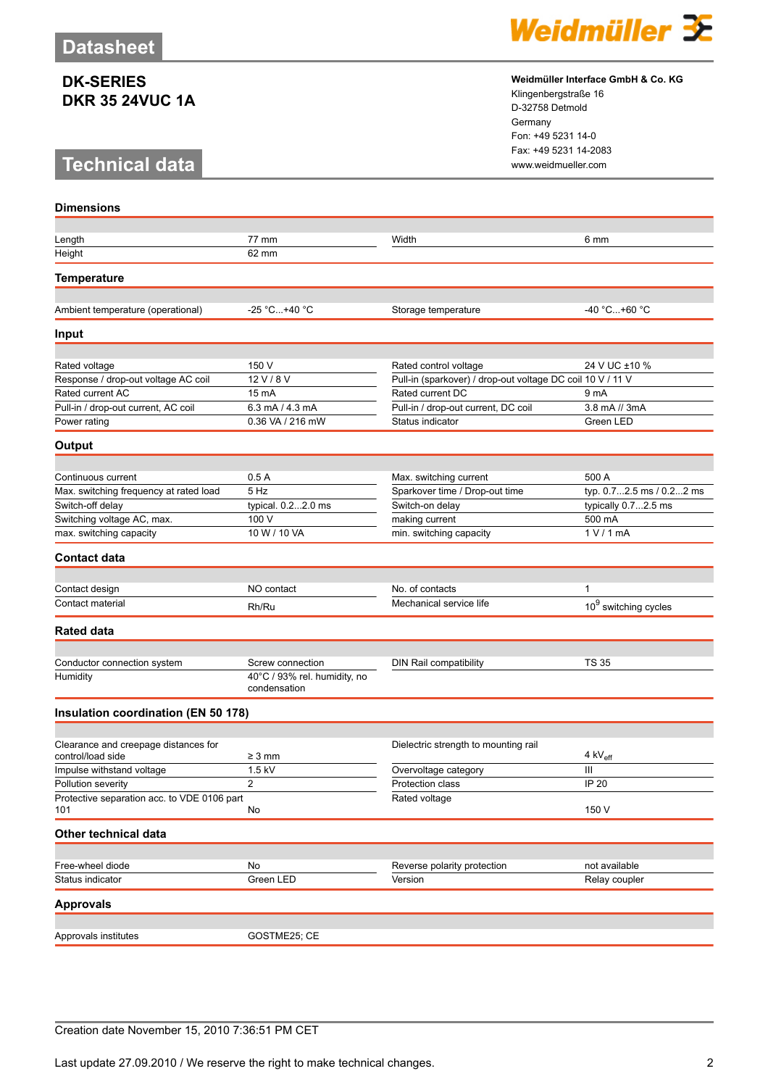# **Technical data www.weidmueller.com**

**Dimensions**



#### **Weidmüller Interface GmbH & Co. KG**

Klingenbergstraße 16 D-32758 Detmold Germany Fon: +49 5231 14-0 Fax: +49 5231 14-2083

| Length                                      | 77 mm                                        | Width                                                      | 6 mm                             |
|---------------------------------------------|----------------------------------------------|------------------------------------------------------------|----------------------------------|
| Height                                      | 62 mm                                        |                                                            |                                  |
|                                             |                                              |                                                            |                                  |
| <b>Temperature</b>                          |                                              |                                                            |                                  |
|                                             |                                              |                                                            |                                  |
| Ambient temperature (operational)           | -25 °C+40 °C                                 | Storage temperature                                        | -40 °C+60 °C                     |
| Input                                       |                                              |                                                            |                                  |
|                                             |                                              |                                                            |                                  |
| Rated voltage                               | 150 V                                        | Rated control voltage                                      | 24 V UC ±10 %                    |
| Response / drop-out voltage AC coil         | 12 V/8 V                                     | Pull-in (sparkover) / drop-out voltage DC coil 10 V / 11 V |                                  |
| Rated current AC                            | 15 mA                                        | Rated current DC                                           | 9 mA                             |
| Pull-in / drop-out current, AC coil         | 6.3 mA / 4.3 mA                              | Pull-in / drop-out current, DC coil                        | 3.8 mA // 3mA                    |
| Power rating                                | 0.36 VA / 216 mW                             | Status indicator                                           | Green LED                        |
|                                             |                                              |                                                            |                                  |
| Output                                      |                                              |                                                            |                                  |
|                                             |                                              |                                                            |                                  |
| Continuous current                          | 0.5A                                         | Max. switching current                                     | 500 A                            |
| Max. switching frequency at rated load      | 5 Hz                                         | Sparkover time / Drop-out time                             | typ. 0.72.5 ms / 0.22 ms         |
| Switch-off delay                            | typical. 0.22.0 ms                           | Switch-on delay                                            | typically 0.72.5 ms              |
| Switching voltage AC, max.                  | 100 V                                        | making current                                             | 500 mA                           |
| max. switching capacity                     | 10 W / 10 VA                                 | min. switching capacity                                    | 1 V / 1 mA                       |
| <b>Contact data</b>                         |                                              |                                                            |                                  |
|                                             |                                              |                                                            |                                  |
| Contact design                              | NO contact                                   | No. of contacts                                            | 1                                |
| Contact material                            | Rh/Ru                                        | Mechanical service life                                    | 10 <sup>9</sup> switching cycles |
| <b>Rated data</b>                           |                                              |                                                            |                                  |
|                                             |                                              |                                                            |                                  |
| Conductor connection system                 | Screw connection                             | DIN Rail compatibility                                     | <b>TS 35</b>                     |
| Humidity                                    | 40°C / 93% rel. humidity, no<br>condensation |                                                            |                                  |
| Insulation coordination (EN 50 178)         |                                              |                                                            |                                  |
|                                             |                                              |                                                            |                                  |
| Clearance and creepage distances for        |                                              | Dielectric strength to mounting rail                       |                                  |
| control/load side                           | $\geq 3$ mm                                  |                                                            | 4 kV <sub>eff</sub>              |
| Impulse withstand voltage                   | 1.5 kV                                       | Overvoltage category                                       | Ш                                |
| Pollution severity                          | $\overline{2}$                               | Protection class                                           | IP 20                            |
| Protective separation acc. to VDE 0106 part |                                              | Rated voltage                                              |                                  |
| 101                                         | No                                           |                                                            | 150 V                            |
| Other technical data                        |                                              |                                                            |                                  |
|                                             |                                              |                                                            |                                  |
| Free-wheel diode                            | No                                           | Reverse polarity protection                                | not available                    |
| Status indicator                            | Green LED                                    | Version                                                    | Relay coupler                    |
| <b>Approvals</b>                            |                                              |                                                            |                                  |
|                                             |                                              |                                                            |                                  |
| Approvals institutes                        | GOSTME25; CE                                 |                                                            |                                  |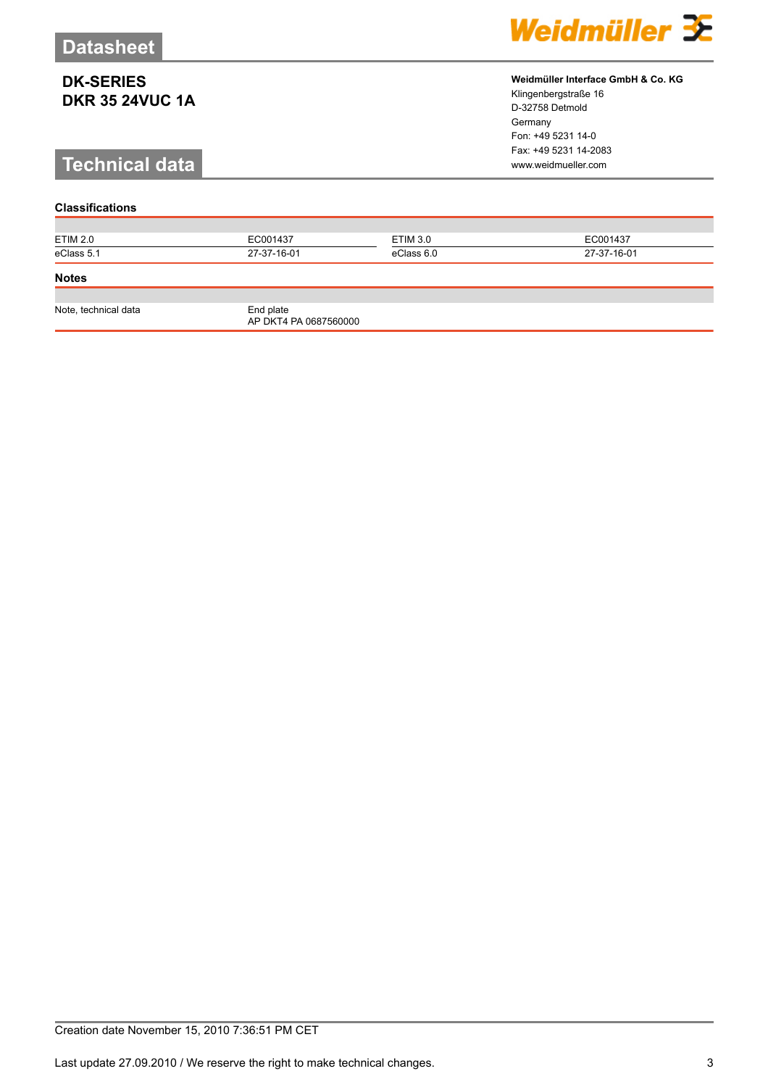# **Technical data www.weidmueller.com**

## **Classifications**

| <b>ETIM 2.0</b>      | EC001437                           | ETIM 3.0   | EC001437    |
|----------------------|------------------------------------|------------|-------------|
| eClass 5.1           | 27-37-16-01                        | eClass 6.0 | 27-37-16-01 |
| <b>Notes</b>         |                                    |            |             |
|                      |                                    |            |             |
| Note, technical data | End plate<br>AP DKT4 PA 0687560000 |            |             |

Weidmüller 3E

**Weidmüller Interface GmbH & Co. KG**

Klingenbergstraße 16 D-32758 Detmold Germany Fon: +49 5231 14-0 Fax: +49 5231 14-2083